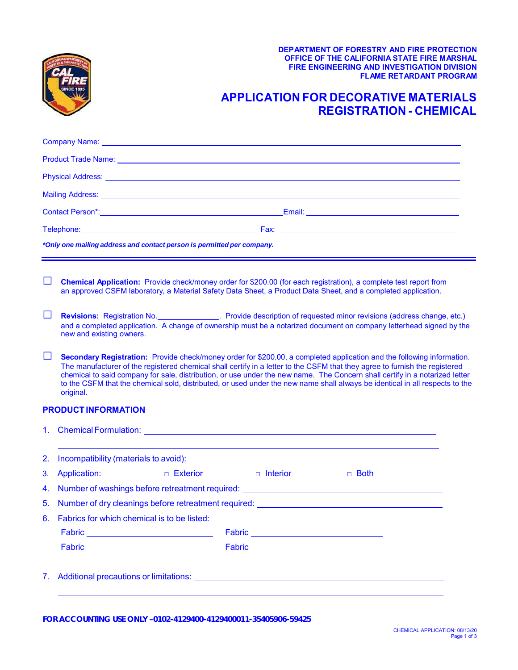

## **OFFICE OF THE CALIFORNIA STATE FIRE MARSHAL DEPARTMENT OF FORESTRY AND FIRE PROTECTION FIRE ENGINEERING AND INVESTIGATION DIVISION FLAME RETARDANT PROGRAM**

## **APPLICATION FOR DECORATIVE MATERIALS REGISTRATION - CHEMICAL**

|    |                                                                                                                                                                                                                                                                                                                                                                                                                                                                                                                                   |                                                                                                                |                                             | Mailing Address: <u>Andreas Address and Additional Control of the Control of the Control of the Control of the Control of the Control of the Control of the Control of the Control of the Control of the Control of the Control </u> |  |  |
|----|-----------------------------------------------------------------------------------------------------------------------------------------------------------------------------------------------------------------------------------------------------------------------------------------------------------------------------------------------------------------------------------------------------------------------------------------------------------------------------------------------------------------------------------|----------------------------------------------------------------------------------------------------------------|---------------------------------------------|--------------------------------------------------------------------------------------------------------------------------------------------------------------------------------------------------------------------------------------|--|--|
|    |                                                                                                                                                                                                                                                                                                                                                                                                                                                                                                                                   | Contact Person*: Network: Network: Network: Network: Network: Network: Network: Network: Network: Network: Net |                                             |                                                                                                                                                                                                                                      |  |  |
|    |                                                                                                                                                                                                                                                                                                                                                                                                                                                                                                                                   |                                                                                                                |                                             |                                                                                                                                                                                                                                      |  |  |
|    | *Only one mailing address and contact person is permitted per company.                                                                                                                                                                                                                                                                                                                                                                                                                                                            |                                                                                                                |                                             |                                                                                                                                                                                                                                      |  |  |
| ⊔  |                                                                                                                                                                                                                                                                                                                                                                                                                                                                                                                                   |                                                                                                                |                                             | Chemical Application: Provide check/money order for \$200.00 (for each registration), a complete test report from<br>an approved CSFM laboratory, a Material Safety Data Sheet, a Product Data Sheet, and a completed application.   |  |  |
| ⊔  | Revisions: Registration No. Provide description of requested minor revisions (address change, etc.)<br>and a completed application. A change of ownership must be a notarized document on company letterhead signed by the<br>new and existing owners.                                                                                                                                                                                                                                                                            |                                                                                                                |                                             |                                                                                                                                                                                                                                      |  |  |
| ப  | Secondary Registration: Provide check/money order for \$200.00, a completed application and the following information.<br>The manufacturer of the registered chemical shall certify in a letter to the CSFM that they agree to furnish the registered<br>chemical to said company for sale, distribution, or use under the new name. The Concern shall certify in a notarized letter<br>to the CSFM that the chemical sold, distributed, or used under the new name shall always be identical in all respects to the<br>original. |                                                                                                                |                                             |                                                                                                                                                                                                                                      |  |  |
|    | <b>PRODUCT INFORMATION</b>                                                                                                                                                                                                                                                                                                                                                                                                                                                                                                        |                                                                                                                |                                             |                                                                                                                                                                                                                                      |  |  |
|    |                                                                                                                                                                                                                                                                                                                                                                                                                                                                                                                                   |                                                                                                                |                                             |                                                                                                                                                                                                                                      |  |  |
| 2. |                                                                                                                                                                                                                                                                                                                                                                                                                                                                                                                                   |                                                                                                                |                                             | <u> 1989 - Andrea Santa Alemania, amerikana amerikana amerikana amerikana amerikana amerikana amerikana amerikana</u>                                                                                                                |  |  |
| 3. | Application:                                                                                                                                                                                                                                                                                                                                                                                                                                                                                                                      |                                                                                                                | □ Exterior       □ Interior                 | $\Box$ Both                                                                                                                                                                                                                          |  |  |
| 4. | Number of washings before retreatment required: <b>container and the contact of the contact of the contact of the contact of the contact of the contact of the contact of the contact of the contact of the contact of the conta</b>                                                                                                                                                                                                                                                                                              |                                                                                                                |                                             |                                                                                                                                                                                                                                      |  |  |
| 5. | Number of dry cleanings before retreatment required: example and all properties of the state of the state of the state of the state of the state of the state of the state of the state of the state of the state of the state                                                                                                                                                                                                                                                                                                    |                                                                                                                |                                             |                                                                                                                                                                                                                                      |  |  |
|    | 6. Fabrics for which chemical is to be listed:                                                                                                                                                                                                                                                                                                                                                                                                                                                                                    |                                                                                                                |                                             |                                                                                                                                                                                                                                      |  |  |
|    |                                                                                                                                                                                                                                                                                                                                                                                                                                                                                                                                   | Fabric ________________________________                                                                        | Fabric <u>_____________________________</u> |                                                                                                                                                                                                                                      |  |  |
|    |                                                                                                                                                                                                                                                                                                                                                                                                                                                                                                                                   | Fabric __________________________________                                                                      |                                             |                                                                                                                                                                                                                                      |  |  |
|    |                                                                                                                                                                                                                                                                                                                                                                                                                                                                                                                                   |                                                                                                                |                                             |                                                                                                                                                                                                                                      |  |  |
| 7. |                                                                                                                                                                                                                                                                                                                                                                                                                                                                                                                                   |                                                                                                                |                                             |                                                                                                                                                                                                                                      |  |  |
|    |                                                                                                                                                                                                                                                                                                                                                                                                                                                                                                                                   |                                                                                                                |                                             |                                                                                                                                                                                                                                      |  |  |

 **FOR ACCOUNTING USE ONLY –0102-4129400-4129400011-35405906-59425**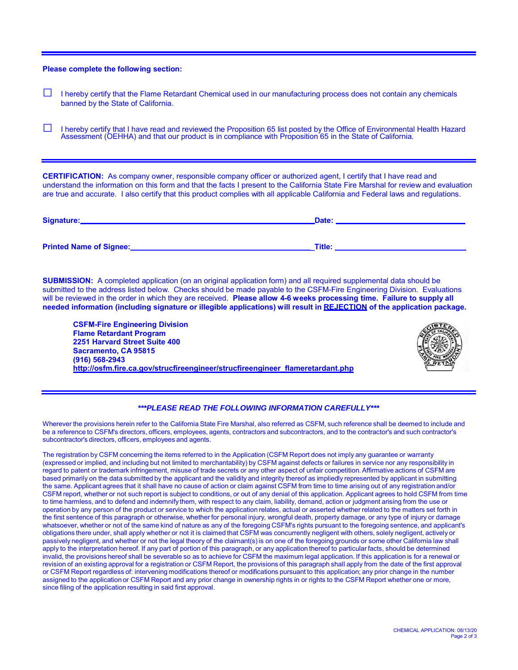**Please complete the following section:**

- **□** I hereby certify that the Flame Retardant Chemical used in our manufacturing process does not contain any chemicals banned by the State of California.
- **□** I hereby certify that I have read and reviewed the Proposition 65 list posted by the Office of Environmental Health Hazard Assessment (OEHHA) and that our product is in compliance with Proposition 65 in the State of California.

 **CERTIFICATION:** As company owner, responsible company officer or authorized agent, I certify that I have read and are true and accurate. I also certify that this product complies with all applicable California and Federal laws and regulations. understand the information on this form and that the facts I present to the California State Fire Marshal for review and evaluation

| Signature:                     | Date:  |
|--------------------------------|--------|
| <b>Printed Name of Signee:</b> | Title: |

 submitted to the address listed below. Checks should be made payable to the CSFM-Fire Engineering Division. Evaluations  will be reviewed in the order in which they are received. **Please allow 4-6 weeks processing time. Failure to supply all needed information (including signature or illegible applications) will result in REJECTION of the application package. SUBMISSION:** A completed application (on an original application form) and all required supplemental data should be

**CSFM-Fire Engineering Division Flame Retardant Program 2251 Harvard Street Suite 400 Sacramento, CA 95815 (916) 568-2943 [http://osfm.fire.ca.gov/strucfireengineer/strucfireengineer\\_flameretardant.php](https://osfm.fire.ca.gov/divisions/fire-engineering-and-investigations/flame-retardant-chemicals-and-fabrics/)**



## *\*\*\*PLEASE READ THE FOLLOWING INFORMATION CAREFULLY\*\*\**

 Wherever the provisions herein refer to the California State Fire Marshal, also referred as CSFM, such reference shall be deemed to include and be a reference to CSFM's directors, officers, employees, agents, contractors and subcontractors, and to the contractor's and such contractor's subcontractor's directors, officers, employees and agents.

 The registration by CSFM concerning the items referred to in the Application (CSFM Report does not imply any guarantee or warranty (expressed or implied, and including but not limited to merchantability) by CSFM against defects or failures in service nor any responsibility in regard to patent or trademark infringement, misuse of trade secrets or any other aspect of unfair competition. Affirmative actions of CSFM are based primarily on the data submitted by the applicant and the validity and integrity thereof as impliedly represented by applicant in submitting the same. Applicant agrees that it shall have no cause of action or claim against CSFM from time to time arising out of any registration and/or CSFM report, whether or not such report is subject to conditions, or out of any denial of this application. Applicant agrees to hold CSFM from time to time harmless, and to defend and indemnify them, with respect to any claim, liability, demand, action or judgment arising from the use or operation by any person of the product or service to which the application relates, actual or asserted whether related to the matters set forth in the first sentence of this paragraph or otherwise, whether for personal injury, wrongful death, property damage, or any type of injury or damage whatsoever, whether or not of the same kind of nature as any of the foregoing CSFM's rights pursuant to the foregoing sentence, and applicant's obligations there under, shall apply whether or not it is claimed that CSFM was concurrently negligent with others, solely negligent, actively or passively negligent, and whether or not the legal theory of the claimant(s) is on one of the foregoing grounds or some other California law shall apply to the interpretation hereof. If any part of portion of this paragraph, or any application thereof to particular facts, should be determined invalid, the provisions hereof shall be severable so as to achieve for CSFM the maximum legal application. If this application is for a renewal or revision of an existing approval for a registration or CSFM Report, the provisions of this paragraph shall apply from the date of the first approval or CSFM Report regardless of: intervening modifications thereof or modifications pursuant to this application; any prior change in the number assigned to the application or CSFM Report and any prior change in ownership rights in or rights to the CSFM Report whether one or more, since filing of the application resulting in said first approval.